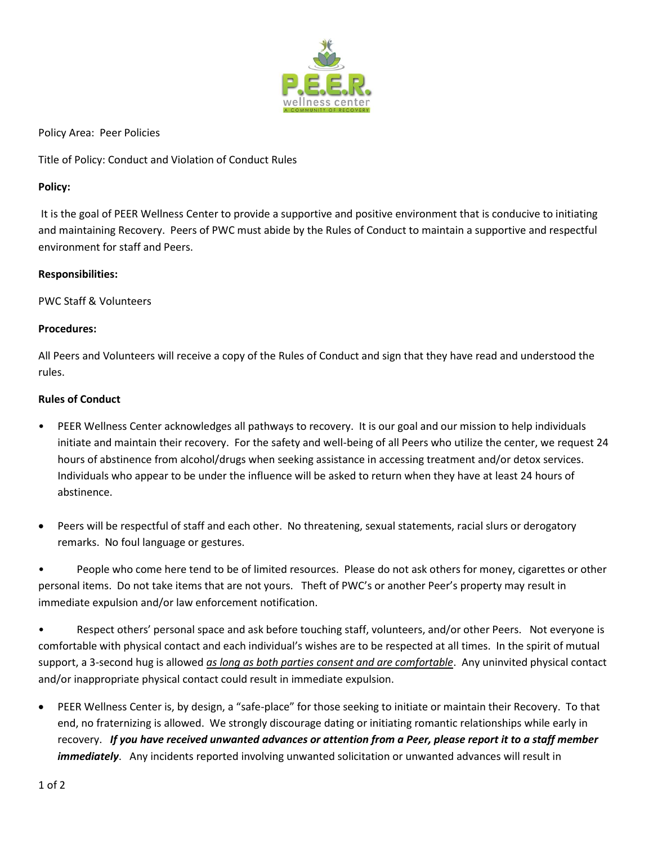

Policy Area: Peer Policies

Title of Policy: Conduct and Violation of Conduct Rules

## **Policy:**

It is the goal of PEER Wellness Center to provide a supportive and positive environment that is conducive to initiating and maintaining Recovery. Peers of PWC must abide by the Rules of Conduct to maintain a supportive and respectful environment for staff and Peers.

## **Responsibilities:**

PWC Staff & Volunteers

## **Procedures:**

All Peers and Volunteers will receive a copy of the Rules of Conduct and sign that they have read and understood the rules.

## **Rules of Conduct**

- PEER Wellness Center acknowledges all pathways to recovery. It is our goal and our mission to help individuals initiate and maintain their recovery. For the safety and well-being of all Peers who utilize the center, we request 24 hours of abstinence from alcohol/drugs when seeking assistance in accessing treatment and/or detox services. Individuals who appear to be under the influence will be asked to return when they have at least 24 hours of abstinence.
- Peers will be respectful of staff and each other. No threatening, sexual statements, racial slurs or derogatory remarks. No foul language or gestures.

• People who come here tend to be of limited resources. Please do not ask others for money, cigarettes or other personal items. Do not take items that are not yours. Theft of PWC's or another Peer's property may result in immediate expulsion and/or law enforcement notification.

• Respect others' personal space and ask before touching staff, volunteers, and/or other Peers. Not everyone is comfortable with physical contact and each individual's wishes are to be respected at all times. In the spirit of mutual support, a 3-second hug is allowed *as long as both parties consent and are comfortable*. Any uninvited physical contact and/or inappropriate physical contact could result in immediate expulsion.

 PEER Wellness Center is, by design, a "safe-place" for those seeking to initiate or maintain their Recovery. To that end, no fraternizing is allowed. We strongly discourage dating or initiating romantic relationships while early in recovery. *If you have received unwanted advances or attention from a Peer, please report it to a staff member immediately*. Any incidents reported involving unwanted solicitation or unwanted advances will result in